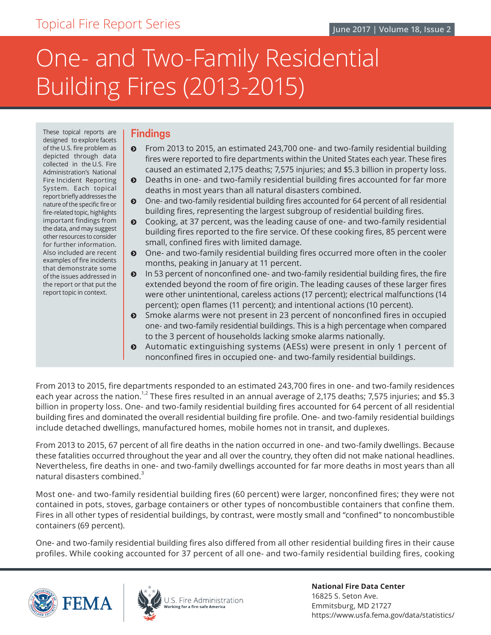# One- and Two-Family Residential Building Fires (2013-2015)

These topical reports are designed to explore facets of the U.S. fire problem as depicted through data collected in the U.S. Fire Administration's National Fire Incident Reporting System. Each topical report briefly addresses the nature of the specific fire or fire-related topic, highlights important findings from the data, and may suggest other resources to consider for further information. Also included are recent examples of fire incidents that demonstrate some of the issues addressed in the report or that put the report topic in context.

### **Findings**

- ĵ From 2013 to 2015, an estimated 243,700 one- and two-family residential building fires were reported to fire departments within the United States each year. These fires caused an estimated 2,175 deaths; 7,575 injuries; and \$5.3 billion in property loss.
- **•** Deaths in one- and two-family residential building fires accounted for far more deaths in most years than all natural disasters combined.
- $\odot$  One- and two-family residential building fires accounted for 64 percent of all residential building fires, representing the largest subgroup of residential building fires.
- ĵ Cooking, at 37 percent, was the leading cause of one- and two-family residential building fires reported to the fire service. Of these cooking fires, 85 percent were small, confined fires with limited damage.
- $\odot$  One- and two-family residential building fires occurred more often in the cooler months, peaking in January at 11 percent.
- $\odot$  In 53 percent of nonconfined one- and two-family residential building fires, the fire extended beyond the room of fire origin. The leading causes of these larger fires were other unintentional, careless actions (17 percent); electrical malfunctions (14 percent); open flames (11 percent); and intentional actions (10 percent).
- $\odot$  Smoke alarms were not present in 23 percent of nonconfined fires in occupied one- and two-family residential buildings. This is a high percentage when compared to the 3 percent of households lacking smoke alarms nationally.
- ĵ Automatic extinguishing systems (AESs) were present in only 1 percent of nonconfined fires in occupied one- and two-family residential buildings.

From 2013 to 2015, fire departments responded to an estimated 243,700 fires in one- and two-family residences each year across the nation.<sup>1,2</sup> These fires resulted in an annual average of 2,175 deaths; 7,575 injuries; and \$5.3 billion in property loss. One- and two-family residential building fires accounted for 64 percent of all residential building fires and dominated the overall residential building fire profile. One- and two-family residential buildings include detached dwellings, manufactured homes, mobile homes not in transit, and duplexes.

From 2013 to 2015, 67 percent of all fire deaths in the nation occurred in one- and two-family dwellings. Because these fatalities occurred throughout the year and all over the country, they often did not make national headlines. Nevertheless, fire deaths in one- and two-family dwellings accounted for far more deaths in most years than all natural disasters combined. $3$ 

Most one- and two-family residential building fires (60 percent) were larger, nonconfined fires; they were not contained in pots, stoves, garbage containers or other types of noncombustible containers that confine them. Fires in all other types of residential buildings, by contrast, were mostly small and "confined" to noncombustible containers (69 percent).

One- and two-family residential building fires also differed from all other residential building fires in their cause profiles. While cooking accounted for 37 percent of all one- and two-family residential building fires, cooking





J.S. Fire Administration Vorking for a fire-safe America

**National Fire Data Center** 16825 S. Seton Ave. Emmitsburg, MD 21727 https://www.usfa.fema.gov/data/statistics/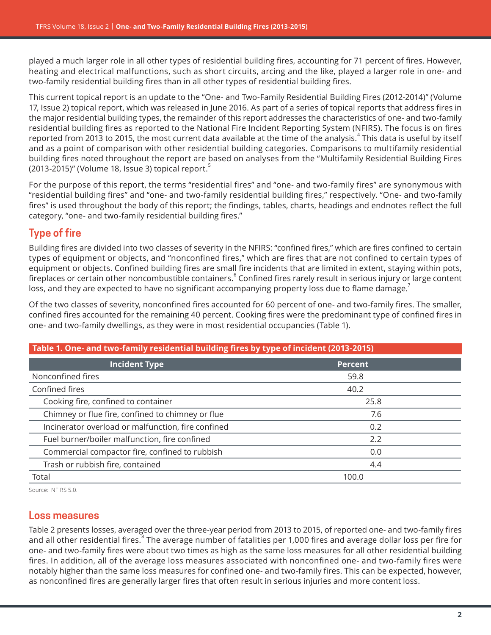played a much larger role in all other types of residential building fires, accounting for 71 percent of fires. However, heating and electrical malfunctions, such as short circuits, arcing and the like, played a larger role in one- and two-family residential building fires than in all other types of residential building fires.

This current topical report is an update to the "One- and Two-Family Residential Building Fires (2012-2014)" (Volume 17, Issue 2) topical report, which was released in June 2016. As part of a series of topical reports that address fires in the major residential building types, the remainder of this report addresses the characteristics of one- and two-family residential building fires as reported to the National Fire Incident Reporting System (NFIRS). The focus is on fires reported from 2013 to 2015, the most current data available at the time of the analysis. $^4$  This data is useful by itself and as a point of comparison with other residential building categories. Comparisons to multifamily residential building fires noted throughout the report are based on analyses from the "Multifamily Residential Building Fires (2013-2015)" (Volume 18, Issue 3) topical report. $5$ 

For the purpose of this report, the terms "residential fires" and "one- and two-family fires" are synonymous with "residential building fires" and "one- and two-family residential building fires," respectively. "One- and two-family fires" is used throughout the body of this report; the findings, tables, charts, headings and endnotes reflect the full category, "one- and two-family residential building fires."

## **Type of fire**

Building fires are divided into two classes of severity in the NFIRS: "confined fires," which are fires confined to certain types of equipment or objects, and "nonconfined fires," which are fires that are not confined to certain types of equipment or objects. Confined building fires are small fire incidents that are limited in extent, staying within pots, fireplaces or certain other noncombustible containers. Confined fires rarely result in serious injury or large content loss, and they are expected to have no significant accompanying property loss due to flame damage.

Of the two classes of severity, nonconfined fires accounted for 60 percent of one- and two-family fires. The smaller, confined fires accounted for the remaining 40 percent. Cooking fires were the predominant type of confined fires in one- and two-family dwellings, as they were in most residential occupancies (Table 1).

| Table 1. One- and two-family residential building fires by type of incident (2013-2015) |                |  |
|-----------------------------------------------------------------------------------------|----------------|--|
| <b>Incident Type</b>                                                                    | <b>Percent</b> |  |
| Nonconfined fires                                                                       | 59.8           |  |
| Confined fires                                                                          | 40.2           |  |
| Cooking fire, confined to container                                                     | 25.8           |  |
| Chimney or flue fire, confined to chimney or flue                                       | 7.6            |  |
| Incinerator overload or malfunction, fire confined                                      | 0.2            |  |
| Fuel burner/boiler malfunction, fire confined                                           | 2.2            |  |
| Commercial compactor fire, confined to rubbish                                          | 0.0            |  |
| Trash or rubbish fire, contained                                                        | 4.4            |  |
| Total                                                                                   | 100.0          |  |

Source: NFIRS 5.0.

## **Loss measures**

[Table 2](#page-2-0) presents losses, averaged over the three-year period from 2013 to 2015, of reported one- and two-family fires and all other residential fires.<sup>8</sup> The average number of fatalities per 1,000 fires and average dollar loss per fire for one- and two-family fires were about two times as high as the same loss measures for all other residential building fires. In addition, all of the average loss measures associated with nonconfined one- and two-family fires were notably higher than the same loss measures for confined one- and two-family fires. This can be expected, however, as nonconfined fires are generally larger fires that often result in serious injuries and more content loss.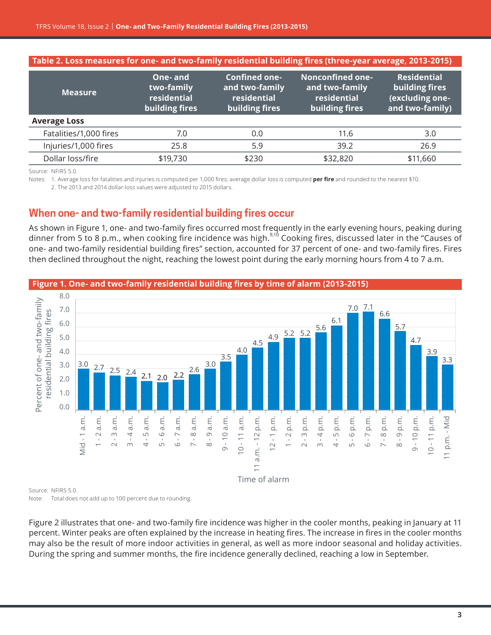<span id="page-2-0"></span>

| Table 2. Loss measures for one- and two-family residential building fires (three-year average, 2013-2015) |                                                                         |                                                                            |                                                                            |
|-----------------------------------------------------------------------------------------------------------|-------------------------------------------------------------------------|----------------------------------------------------------------------------|----------------------------------------------------------------------------|
| One-and<br>two-family<br>residential<br>building fires                                                    | <b>Confined one-</b><br>and two-family<br>residential<br>building fires | <b>Nonconfined one-</b><br>and two-family<br>residential<br>building fires | <b>Residential</b><br>building fires<br>(excluding one-<br>and two-family) |
|                                                                                                           |                                                                         |                                                                            |                                                                            |
| 7.0                                                                                                       | 0.0                                                                     | 11.6                                                                       | 3.0                                                                        |
| 25.8                                                                                                      | 5.9                                                                     | 39.2                                                                       | 26.9                                                                       |
| \$19,730                                                                                                  | \$230                                                                   | \$32,820                                                                   | \$11,660                                                                   |
|                                                                                                           |                                                                         |                                                                            |                                                                            |

Notes: 1. Average loss for fatalities and injuries is computed per 1,000 fires; average dollar loss is computed per fire and rounded to the nearest \$10.

2. The 2013 and 2014 dollar-loss values were adjusted to 2015 dollars.

## **When one- and two-family residential building fires occur**

As shown in Figure 1, one- and two-family fires occurred most frequently in the early evening hours, peaking during dinner from 5 to 8 p.m., when cooking fire incidence was high.<sup>9,10</sup> Cooking fires, discussed later in the "Causes of one- and two-family residential building fires" section, accounted for 37 percent of one- and two-family fires. Fires then declined throughout the night, reaching the lowest point during the early morning hours from 4 to 7 a.m.



**Figure 1. One- and two-family residential building fires by time of alarm (2013-2015)**

Source: NFIRS 5.0. Note: Total does not add up to 100 percent due to rounding.

Figure 2 illustrates that one- and two-family fire incidence was higher in the cooler months, peaking in January at 11 percent. Winter peaks are often explained by the increase in heating fires. The increase in fires in the cooler months may also be the result of more indoor activities in general, as well as more indoor seasonal and holiday activities. During the spring and summer months, the fire incidence generally declined, reaching a low in September.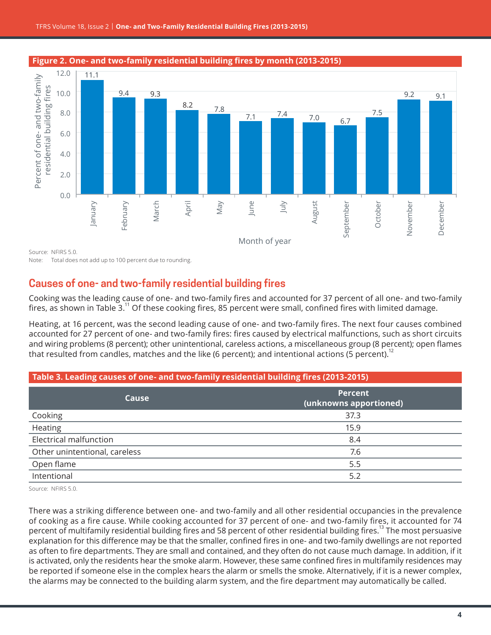

#### **Figure 2. One- and two-family residential building fires by month (2013-2015)**

Note: Total does not add up to 100 percent due to rounding.

## **Causes of one- and two-family residential building fires**

Cooking was the leading cause of one- and two-family fires and accounted for 37 percent of all one- and two-family fires, as shown in Table 3.<sup>11</sup> Of these cooking fires, 85 percent were small, confined fires with limited damage.

Heating, at 16 percent, was the second leading cause of one- and two-family fires. The next four causes combined accounted for 27 percent of one- and two-family fires: fires caused by electrical malfunctions, such as short circuits and wiring problems (8 percent); other unintentional, careless actions, a miscellaneous group (8 percent); open flames that resulted from candles, matches and the like (6 percent); and intentional actions (5 percent).<sup>12</sup>

| Table 3. Leading causes of one- and two-family residential building fires (2013-2015) |                                          |  |
|---------------------------------------------------------------------------------------|------------------------------------------|--|
| Cause                                                                                 | <b>Percent</b><br>(unknowns apportioned) |  |
| Cooking                                                                               | 37.3                                     |  |
| Heating                                                                               | 15.9                                     |  |
| Electrical malfunction                                                                | 8.4                                      |  |
| Other unintentional, careless                                                         | 7.6                                      |  |
| Open flame                                                                            | 5.5                                      |  |
| Intentional                                                                           | 5.2                                      |  |

Source: NFIRS 5.0.

There was a striking difference between one- and two-family and all other residential occupancies in the prevalence of cooking as a fire cause. While cooking accounted for 37 percent of one- and two-family fires, it accounted for 74 percent of multifamily residential building fires and 58 percent of other residential building fires.<sup>13</sup> The most persuasive explanation for this difference may be that the smaller, confined fires in one- and two-family dwellings are not reported as often to fire departments. They are small and contained, and they often do not cause much damage. In addition, if it is activated, only the residents hear the smoke alarm. However, these same confined fires in multifamily residences may be reported if someone else in the complex hears the alarm or smells the smoke. Alternatively, if it is a newer complex, the alarms may be connected to the building alarm system, and the fire department may automatically be called.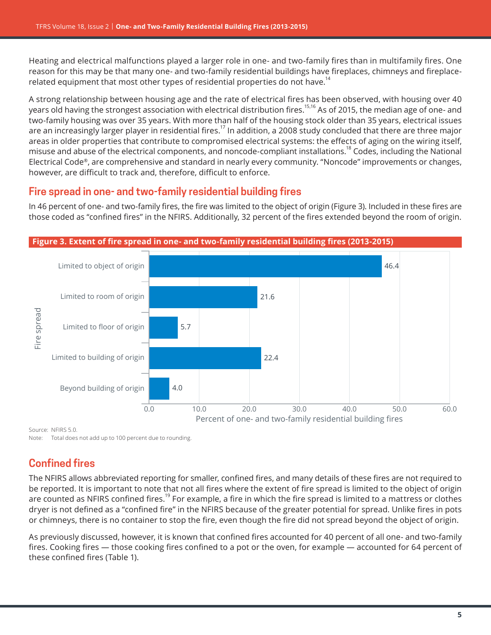Heating and electrical malfunctions played a larger role in one- and two-family fires than in multifamily fires. One reason for this may be that many one- and two-family residential buildings have fireplaces, chimneys and fireplacerelated equipment that most other types of residential properties do not have.<sup>14</sup>

A strong relationship between housing age and the rate of electrical fires has been observed, with housing over 40 years old having the strongest association with electrical distribution fires.<sup>15,16</sup> As of 2015, the median age of one- and two-family housing was over 35 years. With more than half of the housing stock older than 35 years, electrical issues are an increasingly larger player in residential fires.<sup>17</sup> In addition, a 2008 study concluded that there are three major areas in older properties that contribute to compromised electrical systems: the effects of aging on the wiring itself, misuse and abuse of the electrical components, and noncode-compliant installations.<sup>18</sup> Codes, including the National Electrical Code®, are comprehensive and standard in nearly every community. "Noncode" improvements or changes, however, are difficult to track and, therefore, difficult to enforce.

## **Fire spread in one- and two-family residential building fires**

In 46 percent of one- and two-family fires, the fire was limited to the object of origin (Figure 3). Included in these fires are those coded as "confined fires" in the NFIRS. Additionally, 32 percent of the fires extended beyond the room of origin.



Source: NFIRS 5.0.

Note: Total does not add up to 100 percent due to rounding.

## **Confined fires**

The NFIRS allows abbreviated reporting for smaller, confined fires, and many details of these fires are not required to be reported. It is important to note that not all fires where the extent of fire spread is limited to the object of origin are counted as NFIRS confined fires.<sup>19</sup> For example, a fire in which the fire spread is limited to a mattress or clothes dryer is not defined as a "confined fire" in the NFIRS because of the greater potential for spread. Unlike fires in pots or chimneys, there is no container to stop the fire, even though the fire did not spread beyond the object of origin.

As previously discussed, however, it is known that confined fires accounted for 40 percent of all one- and two-family fires. Cooking fires — those cooking fires confined to a pot or the oven, for example — accounted for 64 percent of these confined fires (Table 1).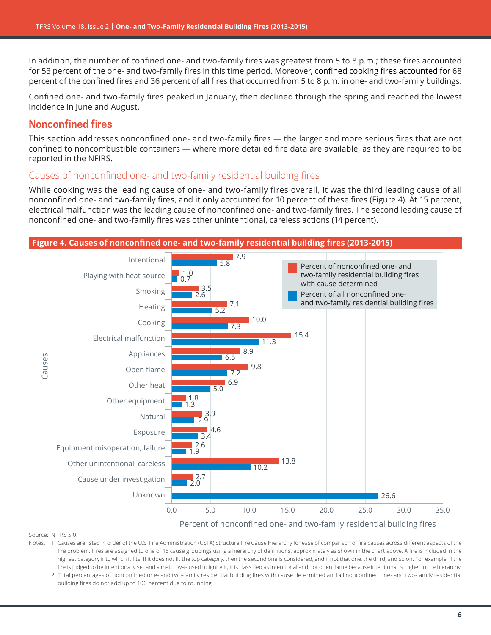In addition, the number of confined one- and two-family fires was greatest from 5 to 8 p.m.; these fires accounted for 53 percent of the one- and two-family fires in this time period. Moreover, confined cooking fires accounted for 68 percent of the confined fires and 36 percent of all fires that occurred from 5 to 8 p.m. in one- and two-family buildings.

Confined one- and two-family fires peaked in January, then declined through the spring and reached the lowest incidence in June and August.

## **Nonconfined fires**

This section addresses nonconfined one- and two-family fires — the larger and more serious fires that are not confined to noncombustible containers — where more detailed fire data are available, as they are required to be reported in the NFIRS.

### Causes of nonconfined one- and two-family residential building fires

While cooking was the leading cause of one- and two-family fires overall, it was the third leading cause of all nonconfined one- and two-family fires, and it only accounted for 10 percent of these fires (Figure 4). At 15 percent, electrical malfunction was the leading cause of nonconfined one- and two-family fires. The second leading cause of nonconfined one- and two-family fires was other unintentional, careless actions (14 percent).



Source: NFIRS 5.0.

Notes: 1. Causes are listed in order of the U.S. Fire Administration (USFA) Structure Fire Cause Hierarchy for ease of comparison of fire causes across different aspects of the fire problem. Fires are assigned to one of 16 cause groupings using a hierarchy of definitions, approximately as shown in the chart above. A fire is included in the highest category into which it fits. If it does not fit the top category, then the second one is considered, and if not that one, the third, and so on. For example, if the fire is judged to be intentionally set and a match was used to ignite it, it is classified as intentional and not open flame because intentional is higher in the hierarchy.

2. Total percentages of nonconfined one- and two-family residential building fires with cause determined and all nonconfined one- and two-family residential building fires do not add up to 100 percent due to rounding.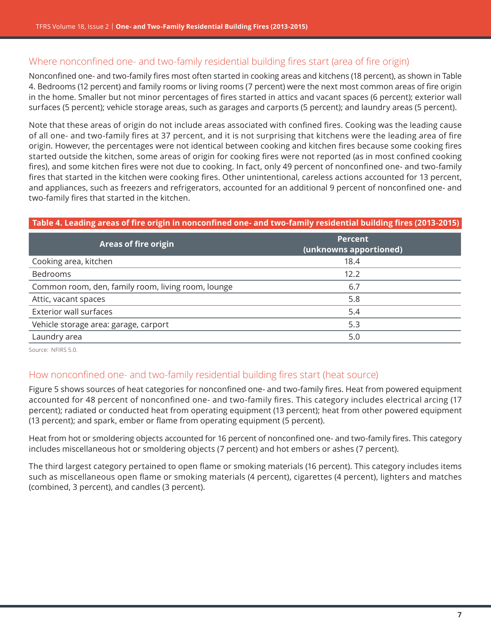## Where nonconfined one- and two-family residential building fires start (area of fire origin)

Nonconfined one- and two-family fires most often started in cooking areas and kitchens (18 percent), as shown in Table 4. Bedrooms (12 percent) and family rooms or living rooms (7 percent) were the next most common areas of fire origin in the home. Smaller but not minor percentages of fires started in attics and vacant spaces (6 percent); exterior wall surfaces (5 percent); vehicle storage areas, such as garages and carports (5 percent); and laundry areas (5 percent).

Note that these areas of origin do not include areas associated with confined fires. Cooking was the leading cause of all one- and two-family fires at 37 percent, and it is not surprising that kitchens were the leading area of fire origin. However, the percentages were not identical between cooking and kitchen fires because some cooking fires started outside the kitchen, some areas of origin for cooking fires were not reported (as in most confined cooking fires), and some kitchen fires were not due to cooking. In fact, only 49 percent of nonconfined one- and two-family fires that started in the kitchen were cooking fires. Other unintentional, careless actions accounted for 13 percent, and appliances, such as freezers and refrigerators, accounted for an additional 9 percent of nonconfined one- and two-family fires that started in the kitchen.

### **Table 4. Leading areas of fire origin in nonconfined one- and two-family residential building fires (2013-2015)**

| <b>Areas of fire origin</b>                        | <b>Percent</b><br>(unknowns apportioned) |
|----------------------------------------------------|------------------------------------------|
| Cooking area, kitchen                              | 18.4                                     |
| Bedrooms                                           | 12.2                                     |
| Common room, den, family room, living room, lounge | 6.7                                      |
| Attic, vacant spaces                               | 5.8                                      |
| <b>Exterior wall surfaces</b>                      | 5.4                                      |
| Vehicle storage area: garage, carport              | 5.3                                      |
| Laundry area                                       | 5.0                                      |
|                                                    |                                          |

Source: NFIRS 5.0.

### How nonconfined one- and two-family residential building fires start (heat source)

[Figure 5](#page-7-0) shows sources of heat categories for nonconfined one- and two-family fires. Heat from powered equipment accounted for 48 percent of nonconfined one- and two-family fires. This category includes electrical arcing (17 percent); radiated or conducted heat from operating equipment (13 percent); heat from other powered equipment (13 percent); and spark, ember or flame from operating equipment (5 percent).

Heat from hot or smoldering objects accounted for 16 percent of nonconfined one- and two-family fires. This category includes miscellaneous hot or smoldering objects (7 percent) and hot embers or ashes (7 percent).

The third largest category pertained to open flame or smoking materials (16 percent). This category includes items such as miscellaneous open flame or smoking materials (4 percent), cigarettes (4 percent), lighters and matches (combined, 3 percent), and candles (3 percent).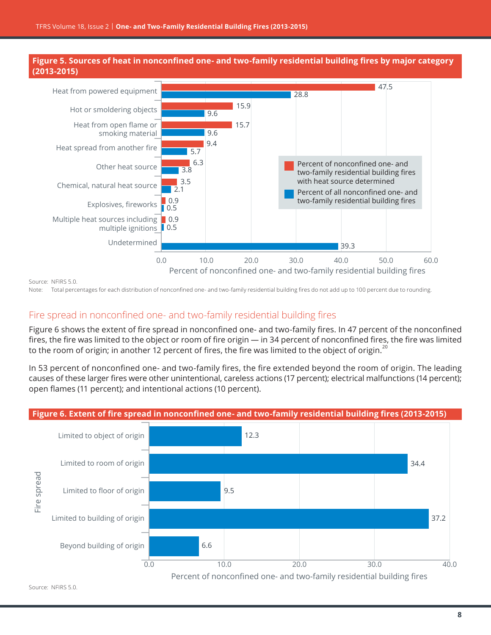<span id="page-7-0"></span>



Note: Total percentages for each distribution of nonconfined one- and two-family residential building fires do not add up to 100 percent due to rounding.

### Fire spread in nonconfined one- and two-family residential building fires

Figure 6 shows the extent of fire spread in nonconfined one- and two-family fires. In 47 percent of the nonconfined fires, the fire was limited to the object or room of fire origin — in 34 percent of nonconfined fires, the fire was limited to the room of origin; in another 12 percent of fires, the fire was limited to the object of origin.<sup>20</sup>

In 53 percent of nonconfined one- and two-family fires, the fire extended beyond the room of origin. The leading causes of these larger fires were other unintentional, careless actions (17 percent); electrical malfunctions (14 percent); open flames (11 percent); and intentional actions (10 percent).

## **Figure 6. Extent of fire spread in nonconfined one- and two-family residential building fires (2013-2015)**

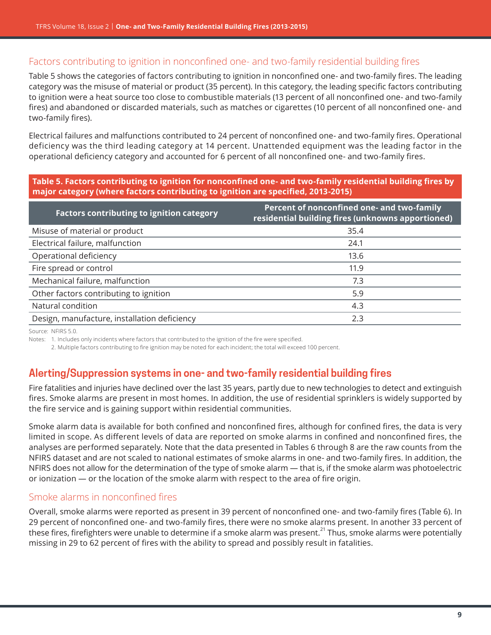## Factors contributing to ignition in nonconfined one- and two-family residential building fires

Table 5 shows the categories of factors contributing to ignition in nonconfined one- and two-family fires. The leading category was the misuse of material or product (35 percent). In this category, the leading specific factors contributing to ignition were a heat source too close to combustible materials (13 percent of all nonconfined one- and two-family fires) and abandoned or discarded materials, such as matches or cigarettes (10 percent of all nonconfined one- and two-family fires).

Electrical failures and malfunctions contributed to 24 percent of nonconfined one- and two-family fires. Operational deficiency was the third leading category at 14 percent. Unattended equipment was the leading factor in the operational deficiency category and accounted for 6 percent of all nonconfined one- and two-family fires.

### **Table 5. Factors contributing to ignition for nonconfined one- and two-family residential building fires by major category (where factors contributing to ignition are specified, 2013-2015)**

| <b>Factors contributing to ignition category</b> | Percent of nonconfined one- and two-family<br>residential building fires (unknowns apportioned) |
|--------------------------------------------------|-------------------------------------------------------------------------------------------------|
| Misuse of material or product                    | 35.4                                                                                            |
| Electrical failure, malfunction                  | 24.1                                                                                            |
| Operational deficiency                           | 13.6                                                                                            |
| Fire spread or control                           | 11.9                                                                                            |
| Mechanical failure, malfunction                  | 7.3                                                                                             |
| Other factors contributing to ignition           | 5.9                                                                                             |
| Natural condition                                | 4.3                                                                                             |
| Design, manufacture, installation deficiency     | 2.3                                                                                             |

Source: NFIRS 5.0.

Notes: 1. Includes only incidents where factors that contributed to the ignition of the fire were specified.

2. Multiple factors contributing to fire ignition may be noted for each incident; the total will exceed 100 percent.

## **Alerting/Suppression systems in one- and two-family residential building fires**

Fire fatalities and injuries have declined over the last 35 years, partly due to new technologies to detect and extinguish fires. Smoke alarms are present in most homes. In addition, the use of residential sprinklers is widely supported by the fire service and is gaining support within residential communities.

Smoke alarm data is available for both confined and nonconfined fires, although for confined fires, the data is very limited in scope. As different levels of data are reported on smoke alarms in confined and nonconfined fires, the analyses are performed separately. Note that the data presented in Tables 6 through 8 are the raw counts from the NFIRS dataset and are not scaled to national estimates of smoke alarms in one- and two-family fires. In addition, the NFIRS does not allow for the determination of the type of smoke alarm — that is, if the smoke alarm was photoelectric or ionization — or the location of the smoke alarm with respect to the area of fire origin.

### Smoke alarms in nonconfined fires

Overall, smoke alarms were reported as present in 39 percent of nonconfined one- and two-family fires (Table 6). In 29 percent of nonconfined one- and two-family fires, there were no smoke alarms present. In another 33 percent of these fires, firefighters were unable to determine if a smoke alarm was present.<sup>21</sup> Thus, smoke alarms were potentially missing in 29 to 62 percent of fires with the ability to spread and possibly result in fatalities.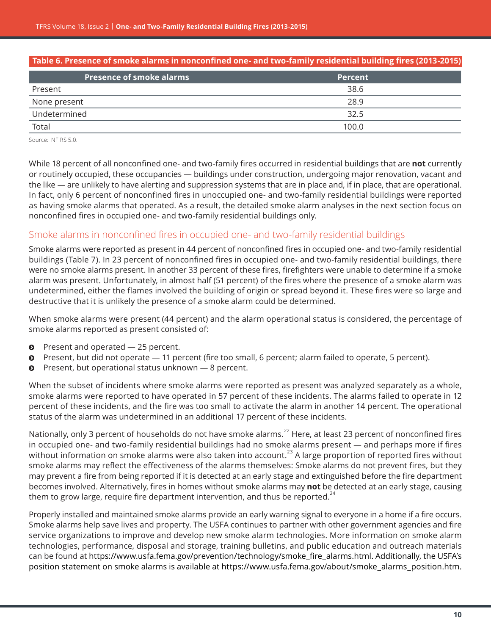| Table 6. Presence of smoke alarms in nonconfined one- and two-family residential building fires (2013-2015) |                |  |
|-------------------------------------------------------------------------------------------------------------|----------------|--|
| <b>Presence of smoke alarms</b>                                                                             | <b>Percent</b> |  |
| Present                                                                                                     | 38.6           |  |
| None present                                                                                                | 28.9           |  |
| Undetermined                                                                                                | 32.5           |  |
| Total                                                                                                       | 100.0          |  |
|                                                                                                             |                |  |

While 18 percent of all nonconfined one- and two-family fires occurred in residential buildings that are **not** currently or routinely occupied, these occupancies — buildings under construction, undergoing major renovation, vacant and the like — are unlikely to have alerting and suppression systems that are in place and, if in place, that are operational. In fact, only 6 percent of nonconfined fires in unoccupied one- and two-family residential buildings were reported as having smoke alarms that operated. As a result, the detailed smoke alarm analyses in the next section focus on nonconfined fires in occupied one- and two-family residential buildings only.

### Smoke alarms in nonconfined fires in occupied one- and two-family residential buildings

Smoke alarms were reported as present in 44 percent of nonconfined fires in occupied one- and two-family residential buildings (Table 7). In 23 percent of nonconfined fires in occupied one- and two-family residential buildings, there were no smoke alarms present. In another 33 percent of these fires, firefighters were unable to determine if a smoke alarm was present. Unfortunately, in almost half (51 percent) of the fires where the presence of a smoke alarm was undetermined, either the flames involved the building of origin or spread beyond it. These fires were so large and destructive that it is unlikely the presence of a smoke alarm could be determined.

When smoke alarms were present (44 percent) and the alarm operational status is considered, the percentage of smoke alarms reported as present consisted of:

- $\bullet$  Present and operated  $-$  25 percent.
- $\bullet$  Present, but did not operate  $-11$  percent (fire too small, 6 percent; alarm failed to operate, 5 percent).
- $\odot$  Present, but operational status unknown  $-8$  percent.

When the subset of incidents where smoke alarms were reported as present was analyzed separately as a whole, smoke alarms were reported to have operated in 57 percent of these incidents. The alarms failed to operate in 12 percent of these incidents, and the fire was too small to activate the alarm in another 14 percent. The operational status of the alarm was undetermined in an additional 17 percent of these incidents.

Nationally, only 3 percent of households do not have smoke alarms.<sup>22</sup> Here, at least 23 percent of nonconfined fires in occupied one- and two-family residential buildings had no smoke alarms present — and perhaps more if fires without information on smoke alarms were also taken into account.<sup>23</sup> A large proportion of reported fires without smoke alarms may reflect the effectiveness of the alarms themselves: Smoke alarms do not prevent fires, but they may prevent a fire from being reported if it is detected at an early stage and extinguished before the fire department becomes involved. Alternatively, fires in homes without smoke alarms may **not** be detected at an early stage, causing them to grow large, require fire department intervention, and thus be reported. $24$ 

Properly installed and maintained smoke alarms provide an early warning signal to everyone in a home if a fire occurs. Smoke alarms help save lives and property. The USFA continues to partner with other government agencies and fire service organizations to improve and develop new smoke alarm technologies. More information on smoke alarm technologies, performance, disposal and storage, training bulletins, and public education and outreach materials can be found at [https://www.usfa.fema.gov/prevention/technology/smoke\\_fire\\_alarms.html](https://www.usfa.fema.gov/prevention/technology/smoke_fire_alarms.html). Additionally, the USFA's position statement on smoke alarms is available at [https://www.usfa.fema.gov/about/smoke\\_alarms\\_position.htm](https://www.usfa.fema.gov/about/smoke_alarms_position.htm).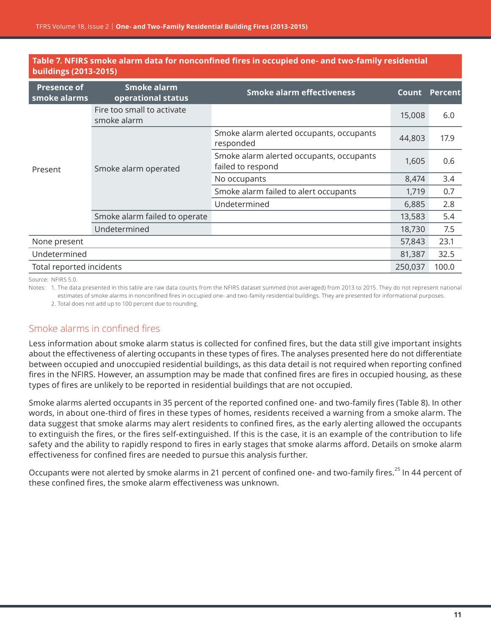| <b>Presence of</b><br>smoke alarms                               | Smoke alarm<br>operational status         | <b>Smoke alarm effectiveness</b>                              | Count   | <b>Percent</b> |
|------------------------------------------------------------------|-------------------------------------------|---------------------------------------------------------------|---------|----------------|
|                                                                  | Fire too small to activate<br>smoke alarm |                                                               | 15,008  | 6.0            |
| Smoke alarm operated<br>Present<br>Smoke alarm failed to operate |                                           | Smoke alarm alerted occupants, occupants<br>responded         | 44,803  | 17.9           |
|                                                                  |                                           | Smoke alarm alerted occupants, occupants<br>failed to respond | 1,605   | 0.6            |
|                                                                  | No occupants                              | 8,474                                                         | 3.4     |                |
|                                                                  |                                           | Smoke alarm failed to alert occupants                         | 1,719   | 0.7            |
|                                                                  | Undetermined                              | 6,885                                                         | 2.8     |                |
|                                                                  |                                           | 13,583                                                        | 5.4     |                |
|                                                                  | Undetermined                              |                                                               | 18,730  | 7.5            |
| None present                                                     |                                           |                                                               | 57,843  | 23.1           |
| Undetermined                                                     |                                           |                                                               | 81,387  | 32.5           |
| Total reported incidents                                         |                                           |                                                               | 250,037 | 100.0          |

### **Table 7. NFIRS smoke alarm data for nonconfined fires in occupied one- and two-family residential buildings (2013-2015)**

Source: NFIRS 5.0.

Notes: 1. The data presented in this table are raw data counts from the NFIRS dataset summed (not averaged) from 2013 to 2015. They do not represent national estimates of smoke alarms in nonconfined fires in occupied one- and two-family residential buildings. They are presented for informational purposes.

2. Total does not add up to 100 percent due to rounding.

## Smoke alarms in confined fires

Less information about smoke alarm status is collected for confined fires, but the data still give important insights about the effectiveness of alerting occupants in these types of fires. The analyses presented here do not differentiate between occupied and unoccupied residential buildings, as this data detail is not required when reporting confined fires in the NFIRS. However, an assumption may be made that confined fires are fires in occupied housing, as these types of fires are unlikely to be reported in residential buildings that are not occupied.

Smoke alarms alerted occupants in 35 percent of the reported confined one- and two-family fires (Table 8). In other words, in about one-third of fires in these types of homes, residents received a warning from a smoke alarm. The data suggest that smoke alarms may alert residents to confined fires, as the early alerting allowed the occupants to extinguish the fires, or the fires self-extinguished. If this is the case, it is an example of the contribution to life safety and the ability to rapidly respond to fires in early stages that smoke alarms afford. Details on smoke alarm effectiveness for confined fires are needed to pursue this analysis further.

Occupants were not alerted by smoke alarms in 21 percent of confined one- and two-family fires.<sup>25</sup> In 44 percent of these confined fires, the smoke alarm effectiveness was unknown.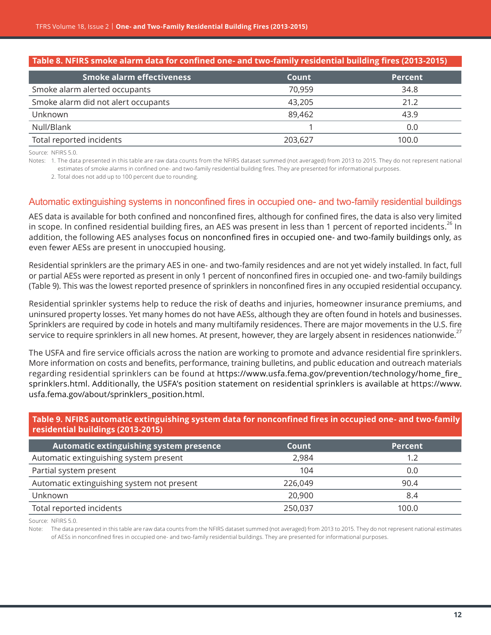| Table 8. NFIRS smoke alarm data for confined one- and two-family residential building fires (2013-2015) |                |  |
|---------------------------------------------------------------------------------------------------------|----------------|--|
| <b>Count</b>                                                                                            | <b>Percent</b> |  |
| 70,959                                                                                                  | 34.8           |  |
| 43,205                                                                                                  | 21.2           |  |
| 89,462                                                                                                  | 43.9           |  |
|                                                                                                         | 0.0            |  |
| 203,627                                                                                                 | 100.0          |  |
|                                                                                                         |                |  |

Notes: 1. The data presented in this table are raw data counts from the NFIRS dataset summed (not averaged) from 2013 to 2015. They do not represent national estimates of smoke alarms in confined one- and two-family residential building fires. They are presented for informational purposes.

2. Total does not add up to 100 percent due to rounding.

### Automatic extinguishing systems in nonconfined fires in occupied one- and two-family residential buildings

AES data is available for both confined and nonconfined fires, although for confined fires, the data is also very limited in scope. In confined residential building fires, an AES was present in less than 1 percent of reported incidents.<sup>26</sup> In addition, the following AES analyses focus on nonconfined fires in occupied one- and two-family buildings only, as even fewer AESs are present in unoccupied housing.

Residential sprinklers are the primary AES in one- and two-family residences and are not yet widely installed. In fact, full or partial AESs were reported as present in only 1 percent of nonconfined fires in occupied one- and two-family buildings (Table 9). This was the lowest reported presence of sprinklers in nonconfined fires in any occupied residential occupancy.

Residential sprinkler systems help to reduce the risk of deaths and injuries, homeowner insurance premiums, and uninsured property losses. Yet many homes do not have AESs, although they are often found in hotels and businesses. Sprinklers are required by code in hotels and many multifamily residences. There are major movements in the U.S. fire service to require sprinklers in all new homes. At present, however, they are largely absent in residences nationwide.<sup>27</sup>

The USFA and fire service officials across the nation are working to promote and advance residential fire sprinklers. More information on costs and benefits, performance, training bulletins, and public education and outreach materials regarding residential sprinklers can be found at [https://www.usfa.fema.gov/prevention/technology/home\\_fire\\_](https://www.usfa.fema.gov/prevention/technology/home_fire_sprinklers.html) [sprinklers.html](https://www.usfa.fema.gov/prevention/technology/home_fire_sprinklers.html). Additionally, the USFA's position statement on residential sprinklers is available at [https://www.](https://www.usfa.fema.gov/about/sprinklers_position.html) [usfa.fema.gov/about/sprinklers\\_position.html](https://www.usfa.fema.gov/about/sprinklers_position.html).

### **Table 9. NFIRS automatic extinguishing system data for nonconfined fires in occupied one- and two-family residential buildings (2013-2015)**

| Automatic extinguishing system presence    | Count   | <b>Percent</b> |
|--------------------------------------------|---------|----------------|
| Automatic extinguishing system present     | 2,984   | 1.2            |
| Partial system present                     | 104     | 0.0            |
| Automatic extinguishing system not present | 226,049 | 90.4           |
| Unknown                                    | 20.900  | 8.4            |
| Total reported incidents                   | 250,037 | 100.0          |

Source: NFIRS 5.0.

Note: The data presented in this table are raw data counts from the NFIRS dataset summed (not averaged) from 2013 to 2015. They do not represent national estimates of AESs in nonconfined fires in occupied one- and two-family residential buildings. They are presented for informational purposes.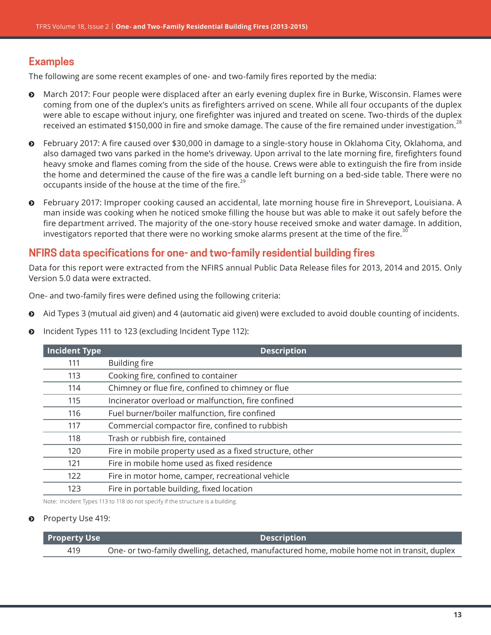## **Examples**

The following are some recent examples of one- and two-family fires reported by the media:

- $\odot$  March 2017: Four people were displaced after an early evening duplex fire in Burke, Wisconsin. Flames were coming from one of the duplex's units as firefighters arrived on scene. While all four occupants of the duplex were able to escape without injury, one firefighter was injured and treated on scene. Two-thirds of the duplex received an estimated \$150,000 in fire and smoke damage. The cause of the fire remained under investigation.<sup>28</sup>
- ĵ February 2017: A fire caused over \$30,000 in damage to a single-story house in Oklahoma City, Oklahoma, and also damaged two vans parked in the home's driveway. Upon arrival to the late morning fire, firefighters found heavy smoke and flames coming from the side of the house. Crews were able to extinguish the fire from inside the home and determined the cause of the fire was a candle left burning on a bed-side table. There were no occupants inside of the house at the time of the fire.<sup>29</sup>
- ĵ February 2017: Improper cooking caused an accidental, late morning house fire in Shreveport, Louisiana. A man inside was cooking when he noticed smoke filling the house but was able to make it out safely before the fire department arrived. The majority of the one-story house received smoke and water damage. In addition, investigators reported that there were no working smoke alarms present at the time of the fire.<sup>30</sup>

## **NFIRS data specifications for one- and two-family residential building fires**

Data for this report were extracted from the NFIRS annual Public Data Release files for 2013, 2014 and 2015. Only Version 5.0 data were extracted.

One- and two-family fires were defined using the following criteria:

- $\odot$  Aid Types 3 (mutual aid given) and 4 (automatic aid given) were excluded to avoid double counting of incidents.
- **O** Incident Types 111 to 123 (excluding Incident Type 112):

| <b>Incident Type</b> | <b>Description</b>                                       |  |
|----------------------|----------------------------------------------------------|--|
| 111                  | <b>Building fire</b>                                     |  |
| 113                  | Cooking fire, confined to container                      |  |
| 114                  | Chimney or flue fire, confined to chimney or flue        |  |
| 115                  | Incinerator overload or malfunction, fire confined       |  |
| 116                  | Fuel burner/boiler malfunction, fire confined            |  |
| 117                  | Commercial compactor fire, confined to rubbish           |  |
| 118                  | Trash or rubbish fire, contained                         |  |
| 120                  | Fire in mobile property used as a fixed structure, other |  |
| 121                  | Fire in mobile home used as fixed residence              |  |
| 122                  | Fire in motor home, camper, recreational vehicle         |  |
| 123                  | Fire in portable building, fixed location                |  |
|                      |                                                          |  |

Note: Incident Types 113 to 118 do not specify if the structure is a building.

### $\odot$  Property Use 419:

| <b>Property Use</b> | <b>Description</b>                                                                           |
|---------------------|----------------------------------------------------------------------------------------------|
| 419                 | One- or two-family dwelling, detached, manufactured home, mobile home not in transit, duplex |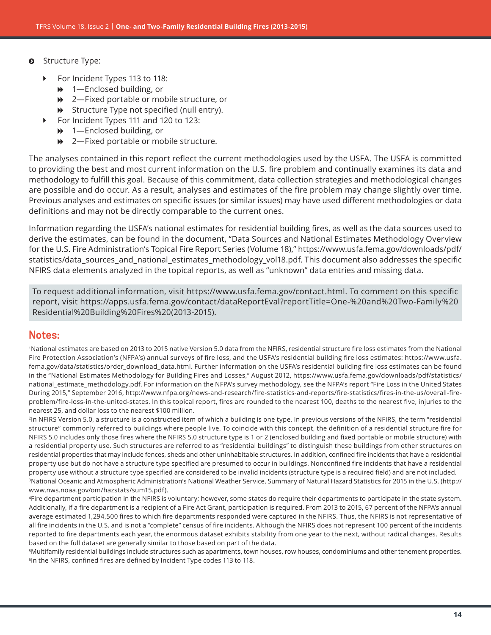- $\odot$  Structure Type:
	- For Incident Types 113 to 118:
		- $\rightarrow$  1—Enclosed building, or
		- **→** 2—Fixed portable or mobile structure, or
		- $\rightarrow$  Structure Type not specified (null entry).
		- For Incident Types 111 and 120 to 123:
			- $\rightarrow$  1—Enclosed building, or
			- $\rightarrow$  2—Fixed portable or mobile structure.

The analyses contained in this report reflect the current methodologies used by the USFA. The USFA is committed to providing the best and most current information on the U.S. fire problem and continually examines its data and methodology to fulfill this goal. Because of this commitment, data collection strategies and methodological changes are possible and do occur. As a result, analyses and estimates of the fire problem may change slightly over time. Previous analyses and estimates on specific issues (or similar issues) may have used different methodologies or data definitions and may not be directly comparable to the current ones.

Information regarding the USFA's national estimates for residential building fires, as well as the data sources used to derive the estimates, can be found in the document, "Data Sources and National Estimates Methodology Overview for the U.S. Fire Administration's Topical Fire Report Series (Volume 18)," [https://www.usfa.fema.gov/downloads/pdf/](https://www.usfa.fema.gov/downloads/pdf/statistics/data_sources_and_national_estimates_methodology_vol18.pdf) [statistics/data\\_sources\\_and\\_national\\_estimates\\_methodology\\_vol18.pdf.](https://www.usfa.fema.gov/downloads/pdf/statistics/data_sources_and_national_estimates_methodology_vol18.pdf) This document also addresses the specific NFIRS data elements analyzed in the topical reports, as well as "unknown" data entries and missing data.

To request additional information, visit [https://www.usfa.fema.gov/contact.html.](https://www.usfa.fema.gov/contact.html) To comment on this specific report, visit [https://apps.usfa.fema.gov/contact/dataReportEval?reportTitle=One-%20and%20Two-Family%20](https://apps.usfa.fema.gov/contact/dataReportEval?reportTitle=One-%20and%20Two-Family%20Residential%20Building%20Fires%20(2013-2015)) [Residential%20Building%20Fires%20\(2013-2015\)](https://apps.usfa.fema.gov/contact/dataReportEval?reportTitle=One-%20and%20Two-Family%20Residential%20Building%20Fires%20(2013-2015)).

### **Notes:**

1National estimates are based on 2013 to 2015 native Version 5.0 data from the NFIRS, residential structure fire loss estimates from the National Fire Protection Association's (NFPA's) annual surveys of fire loss, and the USFA's residential building fire loss estimates: [https://www.usfa.](https://www.usfa.fema.gov/data/statistics/order_download_data.html) [fema.gov/data/statistics/order\\_download\\_data.html](https://www.usfa.fema.gov/data/statistics/order_download_data.html). Further information on the USFA's residential building fire loss estimates can be found in the "National Estimates Methodology for Building Fires and Losses," August 2012, [https://www.usfa.fema.gov/downloads/pdf/statistics/](https://www.usfa.fema.gov/downloads/pdf/statistics/national_estimate_methodology.pdf) [national\\_estimate\\_methodology.pdf](https://www.usfa.fema.gov/downloads/pdf/statistics/national_estimate_methodology.pdf). For information on the NFPA's survey methodology, see the NFPA's report "Fire Loss in the United States During 2015," September 2016, [http://www.nfpa.org/news-and-research/fire-statistics-and-reports/fire-statistics/fires-in-the-us/overall-fire](http://www.nfpa.org/news-and-research/fire-statistics-and-reports/fire-statistics/fires-in-the-us/overall-fire-problem/fire-loss-in-the-united-states)[problem/fire-loss-in-the-united-states](http://www.nfpa.org/news-and-research/fire-statistics-and-reports/fire-statistics/fires-in-the-us/overall-fire-problem/fire-loss-in-the-united-states). In this topical report, fires are rounded to the nearest 100, deaths to the nearest five, injuries to the nearest 25, and dollar loss to the nearest \$100 million.

<sup>2</sup>In NFIRS Version 5.0, a structure is a constructed item of which a building is one type. In previous versions of the NFIRS, the term "residential structure" commonly referred to buildings where people live. To coincide with this concept, the definition of a residential structure fire for NFIRS 5.0 includes only those fires where the NFIRS 5.0 structure type is 1 or 2 (enclosed building and fixed portable or mobile structure) with a residential property use. Such structures are referred to as "residential buildings" to distinguish these buildings from other structures on residential properties that may include fences, sheds and other uninhabitable structures. In addition, confined fire incidents that have a residential property use but do not have a structure type specified are presumed to occur in buildings. Nonconfined fire incidents that have a residential property use without a structure type specified are considered to be invalid incidents (structure type is a required field) and are not included. 3[National Oceanic and Atmospheric Administration's](file:///C:\Users\jheesche\AppData\Local\Microsoft\Windows\Temporary%20Internet%20Files\Content.Outlook\G8A6YC6G\%20National%20Oceanic%20and%20Atmospheric%20Administration) National Weather Service, Summary of Natural Hazard Statistics for 2015 in the U.S. [\(http://](http://www.nws.noaa.gov/om/hazstats/sum15.pdf) [www.nws.noaa.gov/om/hazstats/sum15.pdf](http://www.nws.noaa.gov/om/hazstats/sum15.pdf)).

4Fire department participation in the NFIRS is voluntary; however, some states do require their departments to participate in the state system. Additionally, if a fire department is a recipient of a Fire Act Grant, participation is required. From 2013 to 2015, 67 percent of the NFPA's annual average estimated 1,294,500 fires to which fire departments responded were captured in the NFIRS. Thus, the NFIRS is not representative of all fire incidents in the U.S. and is not a "complete" census of fire incidents. Although the NFIRS does not represent 100 percent of the incidents reported to fire departments each year, the enormous dataset exhibits stability from one year to the next, without radical changes. Results based on the full dataset are generally similar to those based on part of the data.

5Multifamily residential buildings include structures such as apartments, town houses, row houses, condominiums and other tenement properties. 6In the NFIRS, confined fires are defined by Incident Type codes 113 to 118.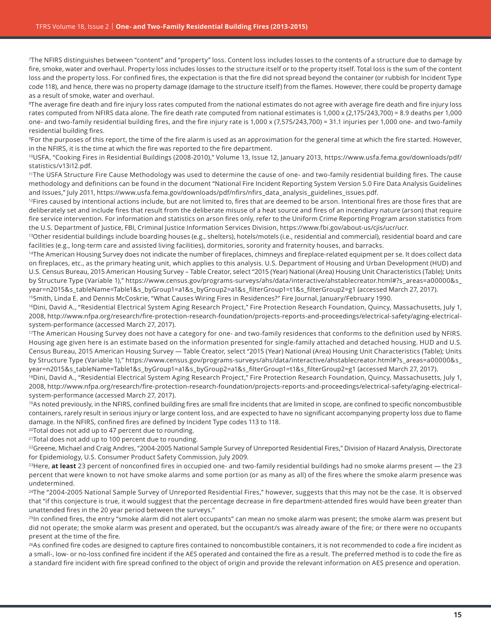7The NFIRS distinguishes between "content" and "property" loss. Content loss includes losses to the contents of a structure due to damage by fire, smoke, water and overhaul. Property loss includes losses to the structure itself or to the property itself. Total loss is the sum of the content loss and the property loss. For confined fires, the expectation is that the fire did not spread beyond the container (or rubbish for Incident Type code 118), and hence, there was no property damage (damage to the structure itself) from the flames. However, there could be property damage as a result of smoke, water and overhaul.

<sup>8</sup>The average fire death and fire injury loss rates computed from the national estimates do not agree with average fire death and fire injury loss rates computed from NFIRS data alone. The fire death rate computed from national estimates is 1,000 x (2,175/243,700) = 8.9 deaths per 1,000 one- and two-family residential building fires, and the fire injury rate is 1,000 x (7,575/243,700) = 31.1 injuries per 1,000 one- and two-family residential building fires.

9For the purposes of this report, the time of the fire alarm is used as an approximation for the general time at which the fire started. However, in the NFIRS, it is the time at which the fire was reported to the fire department.

10USFA, "Cooking Fires in Residential Buildings (2008-2010)," Volume 13, Issue 12, January 2013, [https://www.usfa.fema.gov/downloads/pdf/](https://www.usfa.fema.gov/downloads/pdf/statistics/v13i12.pdf) [statistics/v13i12.pdf](https://www.usfa.fema.gov/downloads/pdf/statistics/v13i12.pdf).

11The USFA Structure Fire Cause Methodology was used to determine the cause of one- and two-family residential building fires. The cause methodology and definitions can be found in the document "National Fire Incident Reporting System Version 5.0 Fire Data Analysis Guidelines and Issues," July 2011, [https://www.usfa.fema.gov/downloads/pdf/nfirs/nfirs\\_data\\_analysis\\_guidelines\\_issues.pdf](https://www.usfa.fema.gov/downloads/pdf/nfirs/nfirs_data_analysis_guidelines_issues.pdf).

 $^{12}$ Fires caused by intentional actions include, but are not limited to, fires that are deemed to be arson. Intentional fires are those fires that are deliberately set and include fires that result from the deliberate misuse of a heat source and fires of an incendiary nature (arson) that require fire service intervention. For information and statistics on arson fires only, refer to the Uniform Crime Reporting Program arson statistics from the U.S. Department of Justice, FBI, Criminal Justice Information Services Division,<https://www.fbi.gov/about-us/cjis/ucr/ucr>.

<sup>13</sup>Other residential buildings include boarding houses (e.g., shelters), hotels/motels (i.e., residential and commercial), residential board and care facilities (e.g., long-term care and assisted living facilities), dormitories, sorority and fraternity houses, and barracks.

<sup>14</sup>The American Housing Survey does not indicate the number of fireplaces, chimneys and fireplace-related equipment per se. It does collect data on fireplaces, etc., as the primary heating unit, which applies to this analysis. U.S. Department of Housing and Urban Development (HUD) and U.S. Census Bureau, 2015 American Housing Survey – Table Creator, select "2015 (Year) National (Area) Housing Unit Characteristics (Table); Units by Structure Type (Variable 1)," [https://www.census.gov/programs-surveys/ahs/data/interactive/ahstablecreator.html#?s\\_areas=a00000&s\\_](https://www.census.gov/programs-surveys/ahs/data/interactive/ahstablecreator.html#?s_areas=a00000&s_year=n2015&s_tableName=Table1&s_byGroup1=a1&s_byGroup2=a1&s_filterGroup1=t1&s_filterGroup2=g1) [year=n2015&s\\_tableName=Table1&s\\_byGroup1=a1&s\\_byGroup2=a1&s\\_filterGroup1=t1&s\\_filterGroup2=g1](https://www.census.gov/programs-surveys/ahs/data/interactive/ahstablecreator.html#?s_areas=a00000&s_year=n2015&s_tableName=Table1&s_byGroup1=a1&s_byGroup2=a1&s_filterGroup1=t1&s_filterGroup2=g1) (accessed March 27, 2017).

15Smith, Linda E. and Dennis McCoskrie, "What Causes Wiring Fires in Residences?" Fire Journal, January/February 1990.

16Dini, David A., "Residential Electrical System Aging Research Project," Fire Protection Research Foundation, Quincy, Massachusetts, July 1, 2008, [http://www.nfpa.org/research/fire-protection-research-foundation/projects-reports-and-proceedings/electrical-safety/aging-electrical](http://www.nfpa.org/research/fire-protection-research-foundation/projects-reports-and-proceedings/electrical-safety/aging-electrical-system-performance)[system-performance](http://www.nfpa.org/research/fire-protection-research-foundation/projects-reports-and-proceedings/electrical-safety/aging-electrical-system-performance) (accessed March 27, 2017).

17The American Housing Survey does not have a category for one- and two-family residences that conforms to the definition used by NFIRS. Housing age given here is an estimate based on the information presented for single-family attached and detached housing. HUD and U.S. Census Bureau, 2015 American Housing Survey — Table Creator, select "2015 (Year) National (Area) Housing Unit Characteristics (Table); Units by Structure Type (Variable 1)," [https://www.census.gov/programs-surveys/ahs/data/interactive/ahstablecreator.html#?s\\_areas=a00000&s\\_](https://www.census.gov/programs-surveys/ahs/data/interactive/ahstablecreator.html#?s_areas=a00000&s_year=n2015&s_tableName=Table1&s_byGroup1=a1&s_byGroup2=a1&s_filterGroup1=t1&s_filterGroup2=g1) [year=n2015&s\\_tableName=Table1&s\\_byGroup1=a1&s\\_byGroup2=a1&s\\_filterGroup1=t1&s\\_filterGroup2=g1](https://www.census.gov/programs-surveys/ahs/data/interactive/ahstablecreator.html#?s_areas=a00000&s_year=n2015&s_tableName=Table1&s_byGroup1=a1&s_byGroup2=a1&s_filterGroup1=t1&s_filterGroup2=g1) (accessed March 27, 2017).

<sup>18</sup>Dini, David A., "Residential Electrical System Aging Research Project," Fire Protection Research Foundation, Quincy, Massachusetts, July 1, 2008, [http://www.nfpa.org/research/fire-protection-research-foundation/projects-reports-and-proceedings/electrical-safety/aging-electrical](http://www.nfpa.org/research/fire-protection-research-foundation/projects-reports-and-proceedings/electrical-safety/aging-electrical-system-performance)[system-performance](http://www.nfpa.org/research/fire-protection-research-foundation/projects-reports-and-proceedings/electrical-safety/aging-electrical-system-performance) (accessed March 27, 2017).

19As noted previously, in the NFIRS, confined building fires are small fire incidents that are limited in scope, are confined to specific noncombustible containers, rarely result in serious injury or large content loss, and are expected to have no significant accompanying property loss due to flame damage. In the NFIRS, confined fires are defined by Incident Type codes 113 to 118.

20Total does not add up to 47 percent due to rounding.

<sup>21</sup>Total does not add up to 100 percent due to rounding.

<sup>22</sup>Greene, Michael and Craig Andres, "2004-2005 National Sample Survey of Unreported Residential Fires," Division of Hazard Analysis, Directorate for Epidemiology, U.S. Consumer Product Safety Commission, July 2009.

23Here, **at least** 23 percent of nonconfined fires in occupied one- and two-family residential buildings had no smoke alarms present — the 23 percent that were known to not have smoke alarms and some portion (or as many as all) of the fires where the smoke alarm presence was undetermined.

<sup>24</sup>The "2004-2005 National Sample Survey of Unreported Residential Fires," however, suggests that this may not be the case. It is observed that "if this conjecture is true, it would suggest that the percentage decrease in fire department-attended fires would have been greater than unattended fires in the 20 year period between the surveys."

<sup>25</sup>In confined fires, the entry "smoke alarm did not alert occupants" can mean no smoke alarm was present; the smoke alarm was present but did not operate; the smoke alarm was present and operated, but the occupant/s was already aware of the fire; or there were no occupants present at the time of the fire.

<sup>26</sup>As confined fire codes are designed to capture fires contained to noncombustible containers, it is not recommended to code a fire incident as a small-, low- or no-loss confined fire incident if the AES operated and contained the fire as a result. The preferred method is to code the fire as a standard fire incident with fire spread confined to the object of origin and provide the relevant information on AES presence and operation.